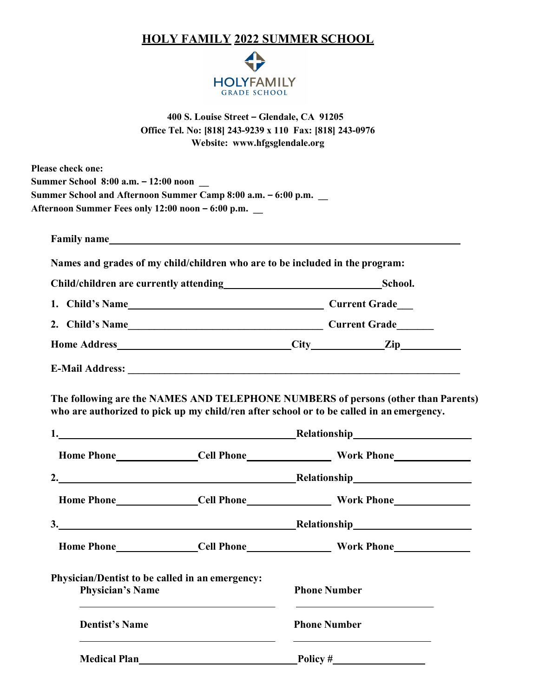## HOLY FAMILY 2022 SUMMER SCHOOL



400 S. Louise Street – Glendale, CA 91205 Office Tel. No: [818] 243-9239 x 110 Fax: [818] 243-0976 Website: www.hfgsglendale.org

|                                                   | Afternoon Summer Fees only 12:00 noon - 6:00 p.m.                            |  |                                                                                          |  |
|---------------------------------------------------|------------------------------------------------------------------------------|--|------------------------------------------------------------------------------------------|--|
|                                                   | Family name                                                                  |  |                                                                                          |  |
|                                                   | Names and grades of my child/children who are to be included in the program: |  |                                                                                          |  |
| Child/children are currently attending<br>School. |                                                                              |  |                                                                                          |  |
|                                                   |                                                                              |  |                                                                                          |  |
|                                                   |                                                                              |  |                                                                                          |  |
|                                                   |                                                                              |  |                                                                                          |  |
|                                                   |                                                                              |  |                                                                                          |  |
|                                                   | 1. Relationship Relationship                                                 |  | who are authorized to pick up my child/ren after school or to be called in an emergency. |  |
|                                                   |                                                                              |  |                                                                                          |  |
|                                                   | 2. Relationship Relationship                                                 |  |                                                                                          |  |
|                                                   | 3. Relationship                                                              |  |                                                                                          |  |
|                                                   |                                                                              |  |                                                                                          |  |
| <b>Physician's Name</b>                           | Physician/Dentist to be called in an emergency:                              |  | <b>Phone Number</b>                                                                      |  |
| <b>Dentist's Name</b>                             |                                                                              |  | <b>Phone Number</b>                                                                      |  |